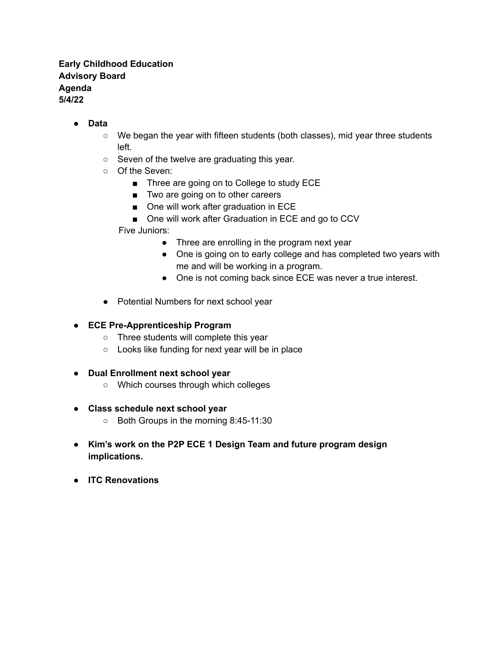## **Early Childhood Education Advisory Board Agenda 5/4/22**

- **● Data**
	- $\circ$  We began the year with fifteen students (both classes), mid year three students left.
	- Seven of the twelve are graduating this year.
	- Of the Seven:
		- Three are going on to College to study ECE
		- Two are going on to other careers
		- One will work after graduation in ECE
		- One will work after Graduation in ECE and go to CCV

Five Juniors:

- Three are enrolling in the program next year
- One is going on to early college and has completed two years with me and will be working in a program.
- One is not coming back since ECE was never a true interest.
- Potential Numbers for next school year
- **● ECE Pre-Apprenticeship Program**
	- Three students will complete this year
	- Looks like funding for next year will be in place
- **● Dual Enrollment next school year**
	- Which courses through which colleges
- **● Class schedule next school year**
	- Both Groups in the morning 8:45-11:30
- **● Kim's work on the P2P ECE 1 Design Team and future program design implications.**
- **● ITC Renovations**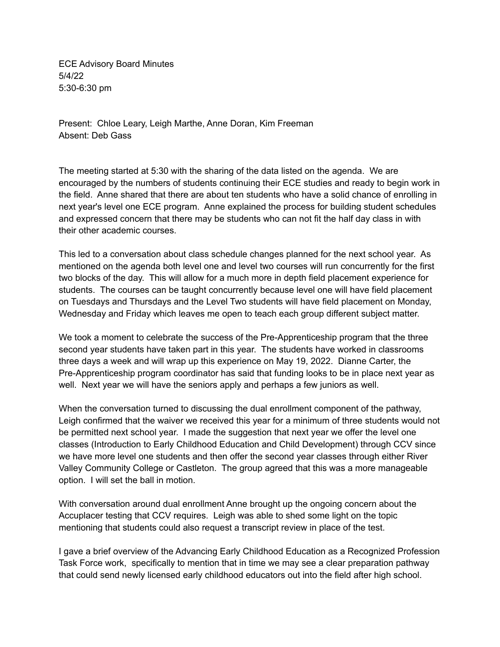ECE Advisory Board Minutes 5/4/22 5:30-6:30 pm

Present: Chloe Leary, Leigh Marthe, Anne Doran, Kim Freeman Absent: Deb Gass

The meeting started at 5:30 with the sharing of the data listed on the agenda. We are encouraged by the numbers of students continuing their ECE studies and ready to begin work in the field. Anne shared that there are about ten students who have a solid chance of enrolling in next year's level one ECE program. Anne explained the process for building student schedules and expressed concern that there may be students who can not fit the half day class in with their other academic courses.

This led to a conversation about class schedule changes planned for the next school year. As mentioned on the agenda both level one and level two courses will run concurrently for the first two blocks of the day. This will allow for a much more in depth field placement experience for students. The courses can be taught concurrently because level one will have field placement on Tuesdays and Thursdays and the Level Two students will have field placement on Monday, Wednesday and Friday which leaves me open to teach each group different subject matter.

We took a moment to celebrate the success of the Pre-Apprenticeship program that the three second year students have taken part in this year. The students have worked in classrooms three days a week and will wrap up this experience on May 19, 2022. Dianne Carter, the Pre-Apprenticeship program coordinator has said that funding looks to be in place next year as well. Next year we will have the seniors apply and perhaps a few juniors as well.

When the conversation turned to discussing the dual enrollment component of the pathway, Leigh confirmed that the waiver we received this year for a minimum of three students would not be permitted next school year. I made the suggestion that next year we offer the level one classes (Introduction to Early Childhood Education and Child Development) through CCV since we have more level one students and then offer the second year classes through either River Valley Community College or Castleton. The group agreed that this was a more manageable option. I will set the ball in motion.

With conversation around dual enrollment Anne brought up the ongoing concern about the Accuplacer testing that CCV requires. Leigh was able to shed some light on the topic mentioning that students could also request a transcript review in place of the test.

I gave a brief overview of the Advancing Early Childhood Education as a Recognized Profession Task Force work, specifically to mention that in time we may see a clear preparation pathway that could send newly licensed early childhood educators out into the field after high school.